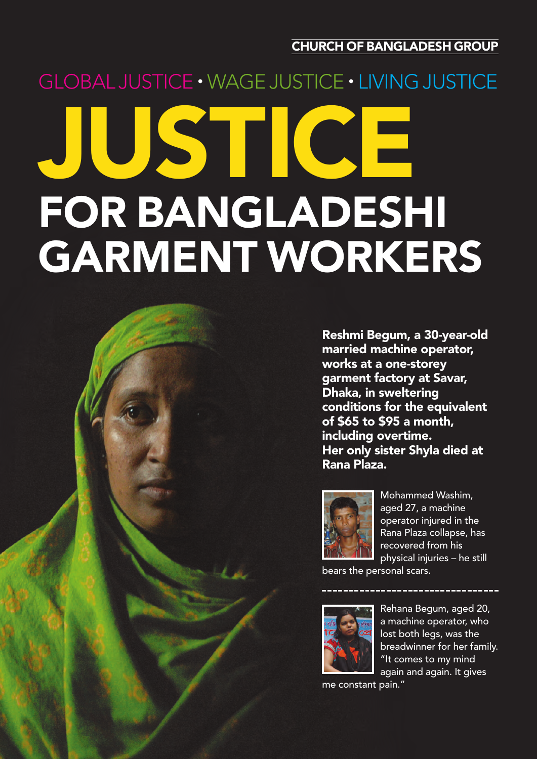**CHURCH OF BANGLADESH GROUP**

# **JUSTICE FOR BANGLADESHI GARMENT WORKERS** GLOBAL JUSTICE · WAGE JUSTICE · LIVING JUSTICE

**Reshmi Begum, a 30-year-old married machine operator, works at a one-storey garment factory at Savar, Dhaka, in sweltering conditions for the equivalent of \$65 to \$95 a month, including overtime. Her only sister Shyla died at Rana Plaza.**



Mohammed Washim, aged 27, a machine operator injured in the Rana Plaza collapse, has recovered from his physical injuries – he still

bears the personal scars.



Rehana Begum, aged 20, a machine operator, who lost both legs, was the breadwinner for her family. "It comes to my mind again and again. It gives

me constant pain."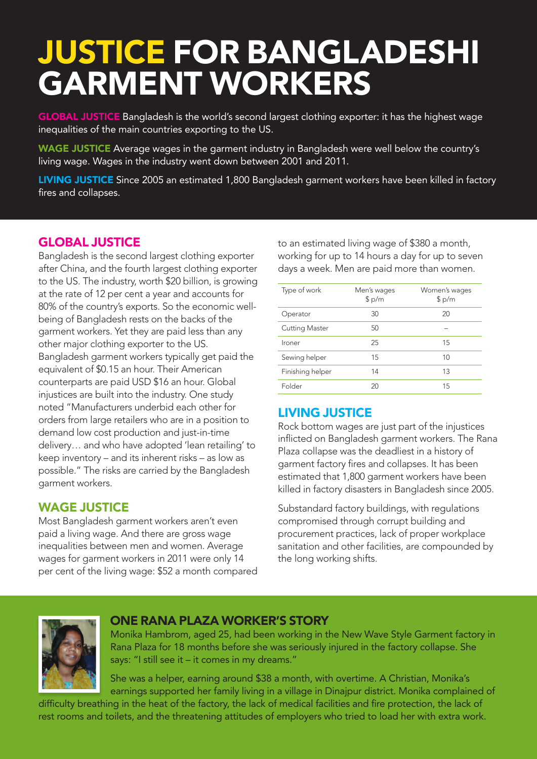# **JUSTICE FOR BANGLADESHI GARMENT WORKERS**

**GLOBAL JUSTICE** Bangladesh is the world's second largest clothing exporter: it has the highest wage inequalities of the main countries exporting to the US.

**WAGE JUSTICE** Average wages in the garment industry in Bangladesh were well below the country's living wage. Wages in the industry went down between 2001 and 2011.

**LIVING JUSTICE** Since 2005 an estimated 1,800 Bangladesh garment workers have been killed in factory fires and collapses.

# **GLOBAL JUSTICE**

Bangladesh is the second largest clothing exporter after China, and the fourth largest clothing exporter to the US. The industry, worth \$20 billion, is growing at the rate of 12 per cent a year and accounts for 80% of the country's exports. So the economic wellbeing of Bangladesh rests on the backs of the garment workers. Yet they are paid less than any other major clothing exporter to the US. Bangladesh garment workers typically get paid the equivalent of \$0.15 an hour. Their American counterparts are paid USD \$16 an hour. Global injustices are built into the industry. One study noted "Manufacturers underbid each other for orders from large retailers who are in a position to demand low cost production and just-in-time delivery… and who have adopted 'lean retailing' to keep inventory – and its inherent risks – as low as possible." The risks are carried by the Bangladesh garment workers.

# **WAGE JUSTICE**

Most Bangladesh garment workers aren't even paid a living wage. And there are gross wage inequalities between men and women. Average wages for garment workers in 2011 were only 14 per cent of the living wage: \$52 a month compared to an estimated living wage of \$380 a month, working for up to 14 hours a day for up to seven days a week. Men are paid more than women..

| Type of work          | Men's wages<br>\$p/m | Women's wages<br>\$p/m |
|-----------------------|----------------------|------------------------|
| Operator              | 30                   | 20                     |
| <b>Cutting Master</b> | 50                   |                        |
| Ironer                | 25                   | 15                     |
| Sewing helper         | 15                   | 10                     |
| Finishing helper      | 14                   | 13                     |
| Folder                | 20                   | 15                     |

# **LIVING JUSTICE**

Rock bottom wages are just part of the injustices inflicted on Bangladesh garment workers. The Rana Plaza collapse was the deadliest in a history of garment factory fires and collapses. It has been estimated that 1,800 garment workers have been killed in factory disasters in Bangladesh since 2005.

Substandard factory buildings, with regulations compromised through corrupt building and procurement practices, lack of proper workplace sanitation and other facilities, are compounded by the long working shifts.



# **ONE RANA PLAZA WORKER'S STORY**

Monika Hambrom, aged 25, had been working in the New Wave Style Garment factory in Rana Plaza for 18 months before she was seriously injured in the factory collapse. She says: "I still see it – it comes in my dreams."

She was a helper, earning around \$38 a month, with overtime. A Christian, Monika's earnings supported her family living in a village in Dinajpur district. Monika complained of

difficulty breathing in the heat of the factory, the lack of medical facilities and fire protection, the lack of rest rooms and toilets, and the threatening attitudes of employers who tried to load her with extra work.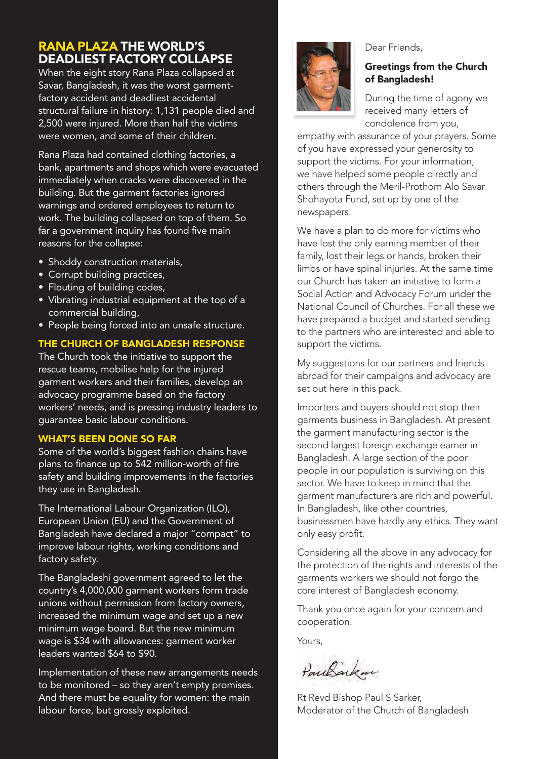# **RANA PLAZA THE WORLD'S DEADLIEST FACTORY COLLAPSE**

When the eight story Rana Plaza collapsed at Savar, Bangladesh, it was the worst garmentfactory accident and deadliest accidental structural failure in history: 1,131 people died and 2,500 were injured. More than half the victims were women, and some of their children.

Rana Plaza had contained clothing factories, a bank, apartments and shops which were evacuated immediately when cracks were discovered in the building. But the garment factories ignored warnings and ordered employees to return to work. The building collapsed on top of them. So far a government inquiry has found five main reasons for the collapse:

- Shoddy construction materials,
- Corrupt building practices,
- Flouting of building codes,
- Vibrating industrial equipment at the top of a commercial building,
- People being forced into an unsafe structure.

#### **THE CHURCH OF BANGLADESH RESPONSE**

The Church took the initiative to support the rescue teams, mobilise help for the injured garment workers and their families, develop an advocacy programme based on the factory workers' needs, and is pressing industry leaders to guarantee basic labour conditions.

#### **WHAT'S BEEN DONE SO FAR**

Some of the world's biggest fashion chains have plans to finance up to \$42 million-worth of fire safety and building improvements in the factories they use in Bangladesh.

The International Labour Organization (ILO), European Union (EU) and the Government of Bangladesh have declared a major "compact" to improve labour rights, working conditions and factory safety.

The Bangladeshi government agreed to let the country's 4,000,000 garment workers form trade unions without permission from factory owners, increased the minimum wage and set up a new minimum wage board. But the new minimum wage is \$34 with allowances: garment worker leaders wanted \$64 to \$90.

Implementation of these new arrangements needs to be monitored – so they aren't empty promises. And there must be equality for women: the main labour force, but grossly exploited.



#### Dear Friends,

#### **Greetings from the Church of Bangladesh!**

During the time of agony we received many letters of condolence from you,

empathy with assurance of your prayers. Some of you have expressed your generosity to support the victims. For your information, we have helped some people directly and others through the Meril-Prothom Alo Savar Shohayota Fund, set up by one of the newspapers.

We have a plan to do more for victims who have lost the only earning member of their family, lost their legs or hands, broken their limbs or have spinal injuries. At the same time our Church has taken an initiative to form a Social Action and Advocacy Forum under the National Council of Churches. For all these we have prepared a budget and started sending to the partners who are interested and able to support the victims.

My suggestions for our partners and friends abroad for their campaigns and advocacy are set out here in this pack.

Importers and buyers should not stop their garments business in Bangladesh. At present the garment manufacturing sector is the second largest foreign exchange earner in Bangladesh. A large section of the poor people in our population is surviving on this sector. We have to keep in mind that the garment manufacturers are rich and powerful. In Bangladesh, like other countries, businessmen have hardly any ethics. They want only easy profit.

Considering all the above in any advocacy for the protection of the rights and interests of the garments workers we should not forgo the core interest of Bangladesh economy.

Thank you once again for your concern and cooperation.

Yours,

PourBacken

Rt Revd Bishop Paul S Sarker, Moderator of the Church of Bangladesh